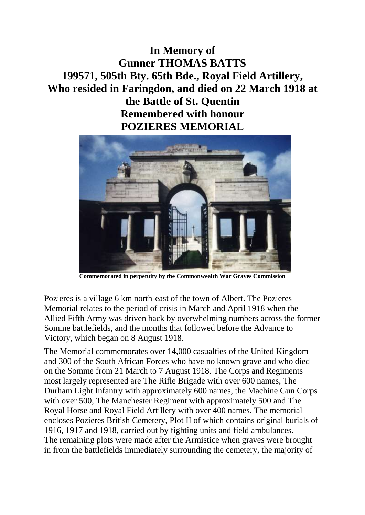**In Memory of Gunner THOMAS BATTS 199571, 505th Bty. 65th Bde., Royal Field Artillery, Who resided in Faringdon, and died on 22 March 1918 at the Battle of St. Quentin Remembered with honour POZIERES MEMORIAL**



**Commemorated in perpetuity by the Commonwealth War Graves Commission**

Pozieres is a village 6 km north-east of the town of Albert. The Pozieres Memorial relates to the period of crisis in March and April 1918 when the Allied Fifth Army was driven back by overwhelming numbers across the former Somme battlefields, and the months that followed before the Advance to Victory, which began on 8 August 1918.

The Memorial commemorates over 14,000 casualties of the United Kingdom and 300 of the South African Forces who have no known grave and who died on the Somme from 21 March to 7 August 1918. The Corps and Regiments most largely represented are The Rifle Brigade with over 600 names, The Durham Light Infantry with approximately 600 names, the Machine Gun Corps with over 500, The Manchester Regiment with approximately 500 and The Royal Horse and Royal Field Artillery with over 400 names. The memorial encloses Pozieres British Cemetery, Plot II of which contains original burials of 1916, 1917 and 1918, carried out by fighting units and field ambulances. The remaining plots were made after the Armistice when graves were brought in from the battlefields immediately surrounding the cemetery, the majority of